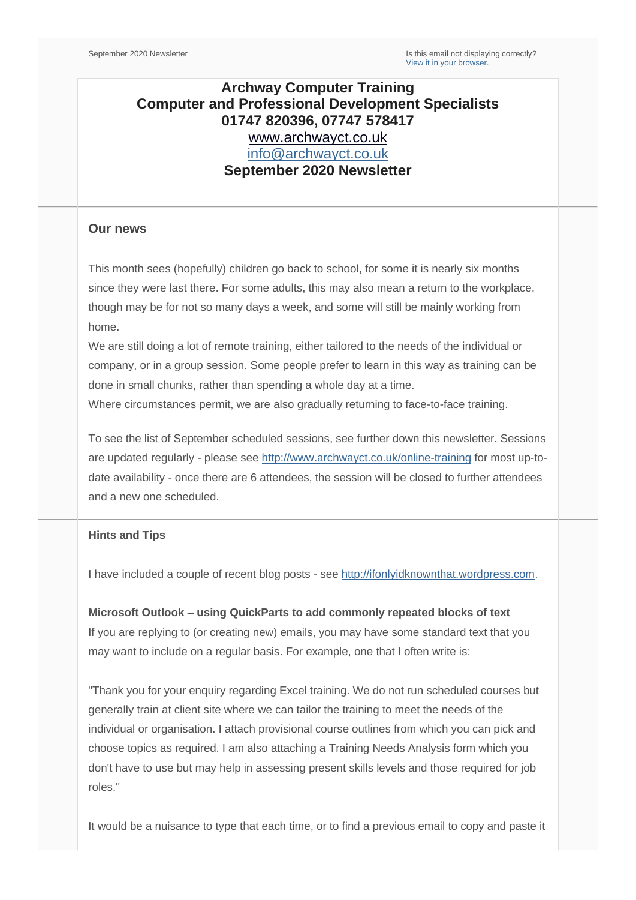# **Archway Computer Training Computer and Professional Development Specialists 01747 820396, 07747 578417** [www.archwayct.co.uk](http://www.archwayct.co.uk/) [info@archwayct.co.uk](mailto:%20info@archwayct.co.uk) **September 2020 Newsletter**

### **Our news**

This month sees (hopefully) children go back to school, for some it is nearly six months since they were last there. For some adults, this may also mean a return to the workplace, though may be for not so many days a week, and some will still be mainly working from home.

We are still doing a lot of remote training, either tailored to the needs of the individual or company, or in a group session. Some people prefer to learn in this way as training can be done in small chunks, rather than spending a whole day at a time.

Where circumstances permit, we are also gradually returning to face-to-face training.

To see the list of September scheduled sessions, see further down this newsletter. Sessions are updated regularly - please see<http://www.archwayct.co.uk/online-training> for most up-todate availability - once there are 6 attendees, the session will be closed to further attendees and a new one scheduled.

#### **Hints and Tips**

I have included a couple of recent blog posts - see [http://ifonlyidknownthat.wordpress.com.](http://ifonlyidknownthat.wordpress.com/)

**Microsoft Outlook – using QuickParts to add commonly repeated blocks of text** If you are replying to (or creating new) emails, you may have some standard text that you may want to include on a regular basis. For example, one that I often write is:

"Thank you for your enquiry regarding Excel training. We do not run scheduled courses but generally train at client site where we can tailor the training to meet the needs of the individual or organisation. I attach provisional course outlines from which you can pick and choose topics as required. I am also attaching a Training Needs Analysis form which you don't have to use but may help in assessing present skills levels and those required for job roles."

It would be a nuisance to type that each time, or to find a previous email to copy and paste it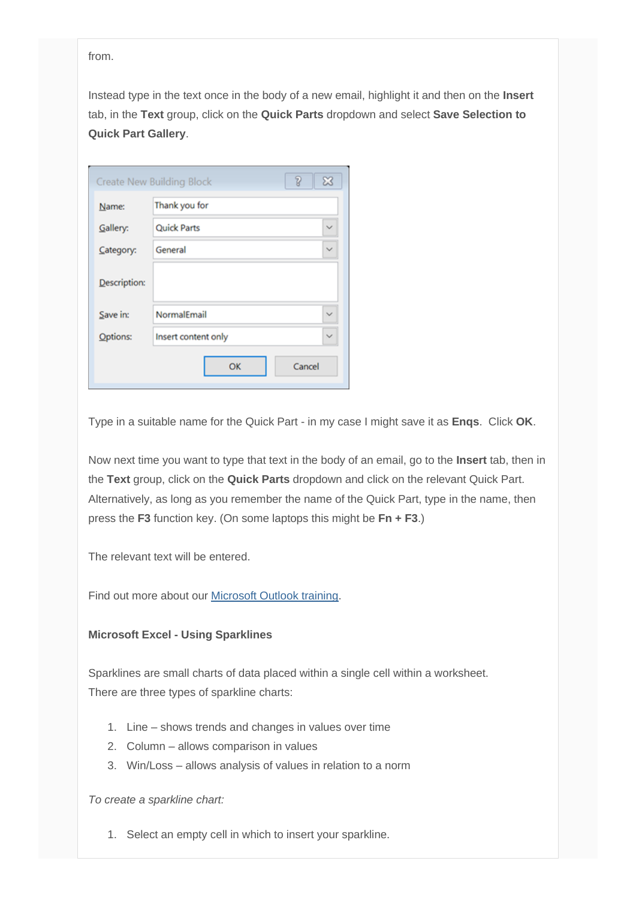from.

Instead type in the text once in the body of a new email, highlight it and then on the **Insert** tab, in the **Text** group, click on the **Quick Parts** dropdown and select **Save Selection to Quick Part Gallery**.

| 7<br>$\mathbb{Z}$<br><b>Create New Building Block</b> |                     |              |  |
|-------------------------------------------------------|---------------------|--------------|--|
| Name:                                                 | Thank you for       |              |  |
| Gallery:                                              | <b>Quick Parts</b>  | $\checkmark$ |  |
| Category:                                             | General             | $\checkmark$ |  |
| Description:                                          |                     |              |  |
| Save in:                                              | NormalEmail         | $\checkmark$ |  |
| Options:                                              | Insert content only | $\checkmark$ |  |
| OK<br>Cancel                                          |                     |              |  |

Type in a suitable name for the Quick Part - in my case I might save it as **Enqs**. Click **OK**.

Now next time you want to type that text in the body of an email, go to the **Insert** tab, then in the **Text** group, click on the **Quick Parts** dropdown and click on the relevant Quick Part. Alternatively, as long as you remember the name of the Quick Part, type in the name, then press the **F3** function key. (On some laptops this might be **Fn + F3**.)

The relevant text will be entered.

Find out more about our [Microsoft Outlook training.](http://www.archwayct.co.uk/microsoft-office-training/microsoft-outlook-training)

#### **Microsoft Excel - Using Sparklines**

Sparklines are small charts of data placed within a single cell within a worksheet. There are three types of sparkline charts:

- 1. Line shows trends and changes in values over time
- 2. Column allows comparison in values
- 3. Win/Loss allows analysis of values in relation to a norm

*To create a sparkline chart:*

1. Select an empty cell in which to insert your sparkline.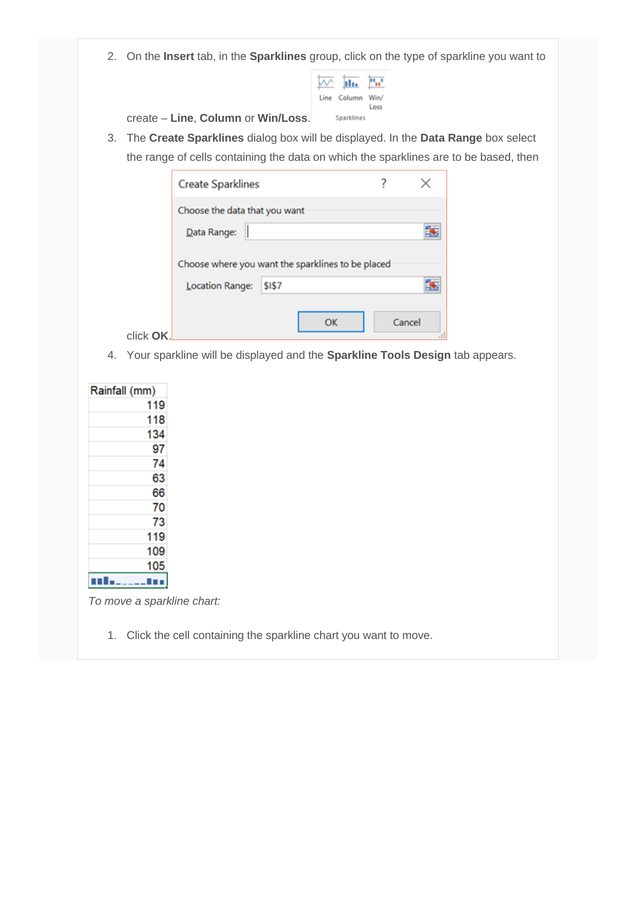2. On the **Insert** tab, in the **Sparklines** group, click on the type of sparkline you want to

| Line Column Win/ | Loss |
|------------------|------|
| Sparklines       |      |

create – **Line**, **Column** or **Win/Loss**.

3. The **Create Sparklines** dialog box will be displayed. In the **Data Range** box select the range of cells containing the data on which the sparklines are to be based, then

|           | <b>Create Sparklines</b>                          |        |    |        |  |
|-----------|---------------------------------------------------|--------|----|--------|--|
|           | Choose the data that you want<br>Data Range:      |        |    |        |  |
|           | Choose where you want the sparklines to be placed |        |    |        |  |
|           | Location Range:                                   | \$1\$7 |    |        |  |
| click OK. |                                                   |        | OK | Cancel |  |

4. Your sparkline will be displayed and the **Sparkline Tools Design** tab appears.

| Rainfall (mm) |
|---------------|
| 119           |
| 118           |
| 134           |
| 97            |
| 74            |
| 63            |
| 66            |
| 70            |
| 73            |
| 119           |
| 109           |
| 105           |
|               |
|               |

*To move a sparkline chart:*

1. Click the cell containing the sparkline chart you want to move.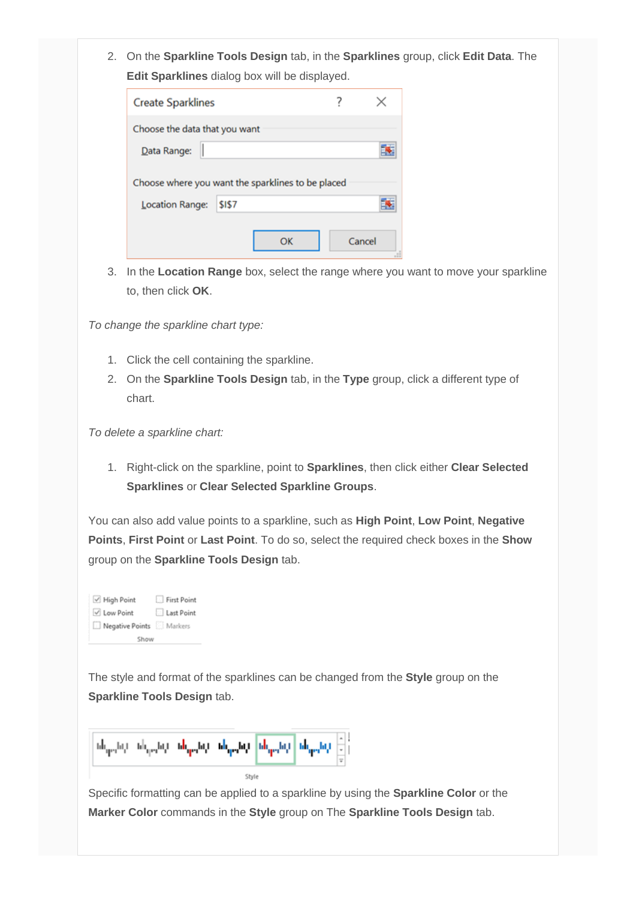2. On the **Sparkline Tools Design** tab, in the **Sparklines** group, click **Edit Data**. The **Edit Sparklines** dialog box will be displayed.

| <b>Create Sparklines</b>                          |    |        |  |
|---------------------------------------------------|----|--------|--|
| Choose the data that you want                     |    |        |  |
| Data Range:                                       |    |        |  |
| Choose where you want the sparklines to be placed |    |        |  |
| Location Range:<br>\$1\$7                         |    |        |  |
|                                                   | OΚ | Cancel |  |

3. In the **Location Range** box, select the range where you want to move your sparkline to, then click **OK**.

*To change the sparkline chart type:*

- 1. Click the cell containing the sparkline.
- 2. On the **Sparkline Tools Design** tab, in the **Type** group, click a different type of chart.

*To delete a sparkline chart:*

1. Right-click on the sparkline, point to **Sparklines**, then click either **Clear Selected Sparklines** or **Clear Selected Sparkline Groups**.

You can also add value points to a sparkline, such as **High Point**, **Low Point**, **Negative Points**, **First Point** or **Last Point**. To do so, select the required check boxes in the **Show**  group on the **Sparkline Tools Design** tab.

| √ High Point            | First Point |
|-------------------------|-------------|
| √ Low Point             | Last Point  |
| Negative Points Markers |             |
| Show                    |             |

The style and format of the sparklines can be changed from the **Style** group on the **Sparkline Tools Design** tab.



Specific formatting can be applied to a sparkline by using the **Sparkline Color** or the **Marker Color** commands in the **Style** group on The **Sparkline Tools Design** tab.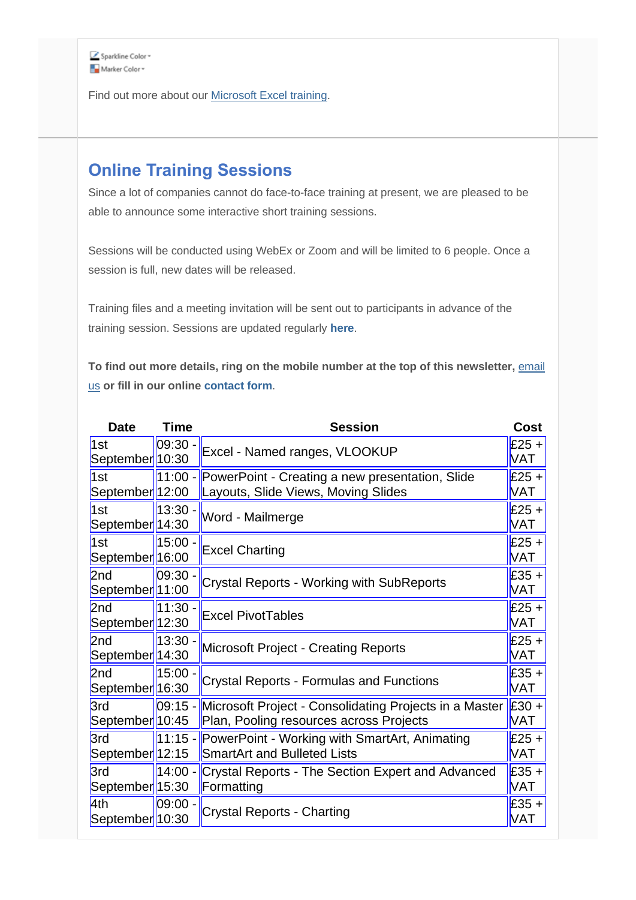

Find out more about our [Microsoft Excel training.](http://www.archwayct.co.uk/microsoft-office-training/microsoft-excel-training)

# **Online Training Sessions**

Since a lot of companies cannot do face-to-face training at present, we are pleased to be able to announce some interactive short training sessions.

Sessions will be conducted using WebEx or Zoom and will be limited to 6 people. Once a session is full, new dates will be released.

Training files and a meeting invitation will be sent out to participants in advance of the training session. Sessions are updated regularly **[here](http://www.archwayct.co.uk/online-training)**.

To find out more details, ring on the mobile number at the top of this newsletter, **email** [us](mailto:janet@archwayct.co.uk?subject=Online%20computer%20training) **or fill in our online [contact form](http://www.archwayct.co.uk/contact)**.

| <b>Date</b>                         | <b>Time</b> | <b>Session</b>                                                                                    | <b>Cost</b>           |
|-------------------------------------|-------------|---------------------------------------------------------------------------------------------------|-----------------------|
| 1st<br>September <sup>1</sup> 10:30 | 09:30       | Excel - Named ranges, VLOOKUP                                                                     | $£25 +$<br>VAT        |
| 1st<br>September <sup>1</sup> 12:00 | 11:00 -     | PowerPoint - Creating a new presentation, Slide<br>Layouts, Slide Views, Moving Slides            | $£25 +$<br>VAT        |
| 1st<br>September  14:30             | 13:30 -     | Word - Mailmerge                                                                                  | $£25 +$<br>VAT        |
| 1st<br>September 16:00              | 15:00 -     | <b>Excel Charting</b>                                                                             | $£25 +$<br>VAT        |
| 2nd<br>September  11:00             | $09:30 -$   | Crystal Reports - Working with SubReports                                                         | $£35 +$<br>VAT        |
| 2nd<br>September  12:30             | $11:30 -$   | <b>Excel PivotTables</b>                                                                          | $£25 +$<br><b>VAT</b> |
| 2nd<br>September  14:30             | 13:30       | <b>Microsoft Project - Creating Reports</b>                                                       | $£25 +$<br><b>VAT</b> |
| 2nd<br>September 16:30              | 15:00       | <b>Crystal Reports - Formulas and Functions</b>                                                   | $£35 +$<br><b>VAT</b> |
| 3rd<br>September 10:45              | $ 09:15 -$  | Microsoft Project - Consolidating Projects in a Master<br>Plan, Pooling resources across Projects | $£30 +$<br>VAT        |
| 3rd<br>September <sup>1</sup> 12:15 | $11:15 -$   | PowerPoint - Working with SmartArt, Animating<br><b>SmartArt and Bulleted Lists</b>               | $£25 +$<br><b>VAT</b> |
| 3rd<br>September  15:30             | 14:00 -     | Crystal Reports - The Section Expert and Advanced<br>Formatting                                   | $£35 +$<br>VAT        |
| 4th<br>September  10:30             | 09:00       | <b>Crystal Reports - Charting</b>                                                                 | $£35 +$<br><b>VAT</b> |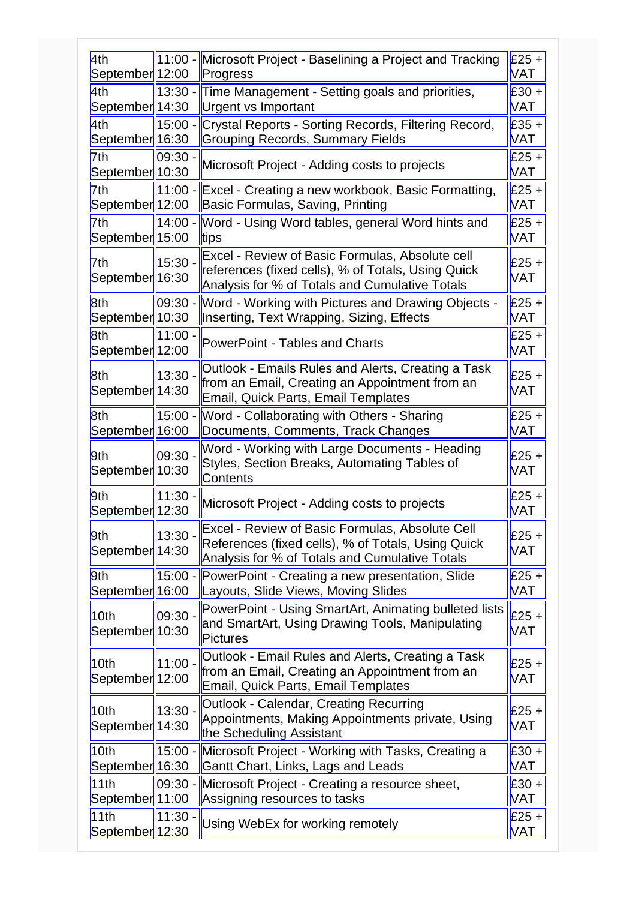| 4th                               | $11:00 -$  | Microsoft Project - Baselining a Project and Tracking                                         | $E25 +$               |
|-----------------------------------|------------|-----------------------------------------------------------------------------------------------|-----------------------|
| September <sup>1</sup> 12:00      |            | Progress                                                                                      | <b>VAT</b>            |
| 4th                               | $13:30 -$  | Time Management - Setting goals and priorities,                                               | $£30 +$               |
| September <sup>1</sup> 14:30      |            | <b>Urgent vs Important</b>                                                                    | <b>VAT</b>            |
| 4th                               | 15:00 -    | Crystal Reports - Sorting Records, Filtering Record,                                          | $£35 +$               |
| September  16:30                  |            | <b>Grouping Records, Summary Fields</b>                                                       | <b>VAT</b>            |
| 7th                               | 09:30      | Microsoft Project - Adding costs to projects                                                  | $£25 +$               |
| September <sup>1</sup> 10:30      |            |                                                                                               | <b>VAT</b>            |
| 7th                               | $11:00 -$  | Excel - Creating a new workbook, Basic Formatting,                                            | $£25 +$               |
| September <sup>1</sup> 12:00      |            | Basic Formulas, Saving, Printing                                                              | <b>VAT</b>            |
| 7th                               | $14:00 -$  | Word - Using Word tables, general Word hints and                                              | $£25 +$               |
| September <sup>1</sup> 15:00      |            | tips                                                                                          | <b>VAT</b>            |
| 7th                               | $15:30 -$  | Excel - Review of Basic Formulas, Absolute cell                                               | $£25 +$               |
| September <sup>1</sup> 16:30      |            | references (fixed cells), % of Totals, Using Quick                                            | <b>VAT</b>            |
|                                   |            | Analysis for % of Totals and Cumulative Totals                                                |                       |
| 8th                               | $ 09:30 -$ | Word - Working with Pictures and Drawing Objects -                                            | $£25 +$               |
| September  10:30                  |            | Inserting, Text Wrapping, Sizing, Effects                                                     | <b>VAT</b>            |
| 8th                               | 11:00      | <b>PowerPoint - Tables and Charts</b>                                                         | $£25 +$               |
| September 12:00                   |            |                                                                                               | <b>VAT</b>            |
| 8th                               | 13:30.     | Outlook - Emails Rules and Alerts, Creating a Task                                            | $£25 +$               |
| September  14:30                  |            | from an Email, Creating an Appointment from an<br><b>Email, Quick Parts, Email Templates</b>  | <b>VAT</b>            |
|                                   |            |                                                                                               |                       |
| 8th<br>September <sup>16:00</sup> | 15:00 -    | Word - Collaborating with Others - Sharing<br>Documents, Comments, Track Changes              | $£25 +$<br><b>VAT</b> |
|                                   |            |                                                                                               |                       |
| 9th                               | 09:30      | Word - Working with Large Documents - Heading<br>Styles, Section Breaks, Automating Tables of | $£25 +$               |
| September <sup>1</sup> 10:30      |            | Contents                                                                                      | <b>VAT</b>            |
| 9th                               | 11:30      |                                                                                               | $£25 +$               |
| September <sup>1</sup> 12:30      |            | Microsoft Project - Adding costs to projects                                                  | <b>VAT</b>            |
|                                   |            | Excel - Review of Basic Formulas, Absolute Cell                                               |                       |
| 9th                               | 13:30 -    | References (fixed cells), % of Totals, Using Quick                                            | $£25 +$               |
| September <sup>1</sup> 14:30      |            | Analysis for % of Totals and Cumulative Totals                                                | <b>VAT</b>            |
| 9th                               | $15:00 -$  | PowerPoint - Creating a new presentation, Slide                                               | $£25 +$               |
| September 16:00                   |            | Layouts, Slide Views, Moving Slides                                                           | <b>VAT</b>            |
|                                   |            | PowerPoint - Using SmartArt, Animating bulleted lists                                         |                       |
| 10th                              | $ 09:30 -$ | and SmartArt, Using Drawing Tools, Manipulating                                               | $£25 +$<br><b>VAT</b> |
| September 10:30                   |            | Pictures                                                                                      |                       |
| 10 <sub>th</sub>                  | 11:00 -    | Outlook - Email Rules and Alerts, Creating a Task                                             | $£25 +$               |
| September 12:00                   |            | from an Email, Creating an Appointment from an                                                | <b>VAT</b>            |
|                                   |            | <b>Email, Quick Parts, Email Templates</b>                                                    |                       |
| 10 <sub>th</sub>                  | 13:30.     | Outlook - Calendar, Creating Recurring                                                        | $£25 +$               |
| September 14:30                   |            | Appointments, Making Appointments private, Using                                              | <b>VAT</b>            |
|                                   |            | the Scheduling Assistant                                                                      |                       |
| 10th                              | $15:00 -$  | Microsoft Project - Working with Tasks, Creating a                                            | $£30 +$               |
| September <sup>16:30</sup>        |            | Gantt Chart, Links, Lags and Leads                                                            | VAT                   |
| 11th                              | 09:30 -    | Microsoft Project - Creating a resource sheet,                                                | $£30 +$               |
| September <sup>1</sup> 11:00      |            | Assigning resources to tasks                                                                  | <b>VAT</b>            |
| 11th                              | 11:30.     | Using WebEx for working remotely                                                              | $£25 +$               |
| September <sup>1</sup> 12:30      |            |                                                                                               | <b>VAT</b>            |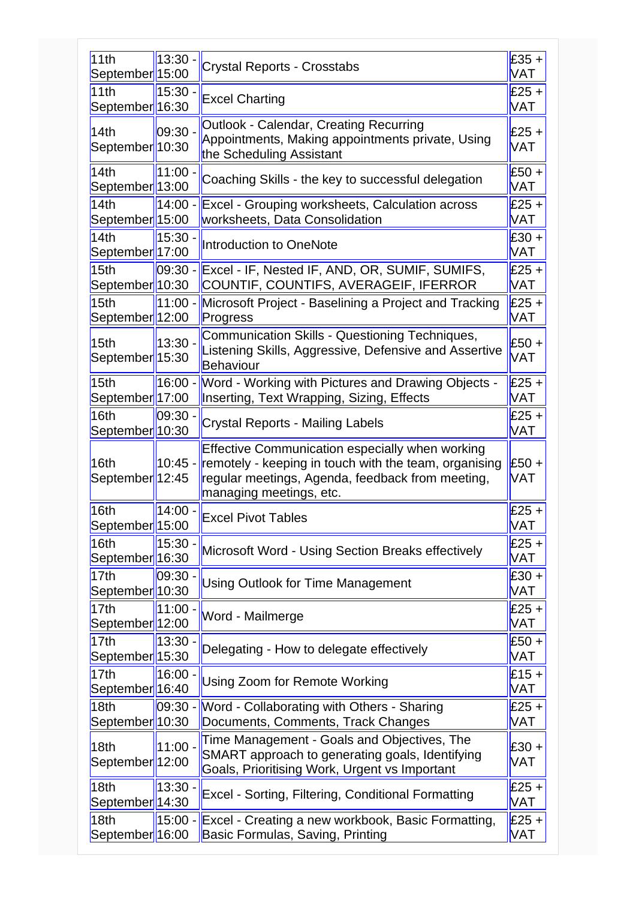| 11th<br>September 15:00                          | 13:30 - | <b>Crystal Reports - Crosstabs</b>                                                                                                                                                             | £35 +<br><b>VAT</b>   |
|--------------------------------------------------|---------|------------------------------------------------------------------------------------------------------------------------------------------------------------------------------------------------|-----------------------|
| 11th<br>September 16:30                          | 15:30.  | <b>Excel Charting</b>                                                                                                                                                                          | $£25 +$<br><b>VAT</b> |
| 14th<br>September <sup> </sup> 10:30             | 09:30 - | Outlook - Calendar, Creating Recurring<br>Appointments, Making appointments private, Using<br>the Scheduling Assistant                                                                         | £25 +<br>VAT          |
| 14th<br>September  13:00                         | 11:00.  | Coaching Skills - the key to successful delegation                                                                                                                                             | £50 +<br>VAT          |
| 14th<br>September  15:00                         | 14:00 - | <b>Excel - Grouping worksheets, Calculation across</b><br>worksheets, Data Consolidation                                                                                                       | $£25 +$<br>VAT        |
| 14th<br>September <sup>1</sup> 17:00             | 15:30   | Introduction to OneNote                                                                                                                                                                        | £30 +<br>VAT          |
| 15 <sub>th</sub><br>September  10:30             | 09:30 - | Excel - IF, Nested IF, AND, OR, SUMIF, SUMIFS,<br>COUNTIF, COUNTIFS, AVERAGEIF, IFERROR                                                                                                        | $£25 +$<br>VAT        |
| 15 <sub>th</sub><br>September 12:00              | 11:00 - | Microsoft Project - Baselining a Project and Tracking<br>Progress                                                                                                                              | £25 +<br>VAT          |
| 15 <sub>th</sub><br>September 15:30              | 13:30.  | Communication Skills - Questioning Techniques,<br>Listening Skills, Aggressive, Defensive and Assertive<br>Behaviour                                                                           | $£50 +$<br><b>VAT</b> |
| 15 <sub>th</sub><br>September 17:00              | 16:00 - | Word - Working with Pictures and Drawing Objects -<br>Inserting, Text Wrapping, Sizing, Effects                                                                                                | £25 +<br>VAT          |
| 16 <sub>th</sub><br>September 10:30              | 09:30   | Crystal Reports - Mailing Labels                                                                                                                                                               | $£25 +$<br>VAT        |
| 16 <sub>th</sub><br>September 12:45              | 10:45 - | <b>Effective Communication especially when working</b><br>remotely - keeping in touch with the team, organising<br>regular meetings, Agenda, feedback from meeting,<br>managing meetings, etc. | £50 +<br>VAT          |
| 16th<br>September <sup>15:00</sup>               | 14:00   | <b>Excel Pivot Tables</b>                                                                                                                                                                      | £25 +<br><b>VAT</b>   |
| 16 <sub>th</sub><br>September 16:30              | 15:30   | Microsoft Word - Using Section Breaks effectively                                                                                                                                              | £25 +<br>VAT          |
| 17 <sub>th</sub><br>September <sup>1</sup> 10:30 | 09:30   | <b>Using Outlook for Time Management</b>                                                                                                                                                       | £30 +<br>VAT          |
| 17 <sub>th</sub><br>September <sup>1</sup> 12:00 | 11:00 - | Word - Mailmerge                                                                                                                                                                               | £25 +<br><b>VAT</b>   |
| 17th<br>September  15:30                         | 13:30   | Delegating - How to delegate effectively                                                                                                                                                       | £50 +<br>VAT          |
| 17th<br>September  16:40                         | 16:00 - | Using Zoom for Remote Working                                                                                                                                                                  | $£15 +$<br><b>VAT</b> |
| 18 <sub>th</sub><br>September 10:30              | 09:30 - | Word - Collaborating with Others - Sharing<br>Documents, Comments, Track Changes                                                                                                               | £25 +<br>VAT          |
| 18 <sub>th</sub><br>September 12:00              | 11:00   | Time Management - Goals and Objectives, The<br>SMART approach to generating goals, Identifying<br>Goals, Prioritising Work, Urgent vs Important                                                | £30 +<br>VAT          |
| 18 <sub>th</sub><br>September  14:30             | 13:30   | <b>Excel - Sorting, Filtering, Conditional Formatting</b>                                                                                                                                      | £25 +<br>VAT          |
| 18th<br>September <sup>1</sup> 16:00             | 15:00 - | Excel - Creating a new workbook, Basic Formatting,<br>Basic Formulas, Saving, Printing                                                                                                         | £25 +<br>VAT          |